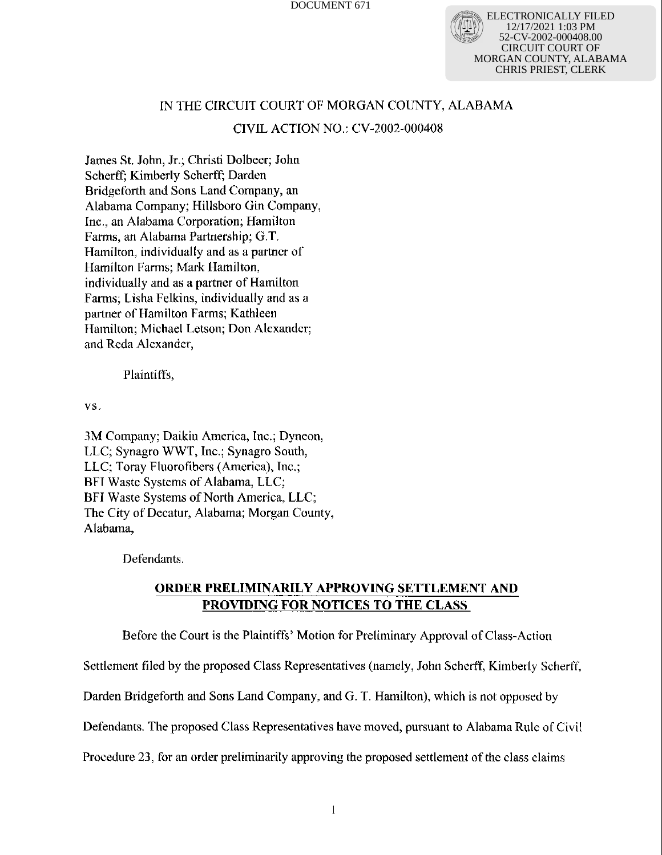ELECTRONICALLY FILED 12/17/2021 1:03 PM V-2002-000408.00 CIRCUIT COURT OF MORGAN COUNTY, ALABAMA CHRIS PRIEST, CLERK

# IN THE CIRCUIT COURT OF MORGAN COUNTY, ALABAMA

## CIVIL ACTION NO.: CV-2002-000408

James St. John, Jr.; Christi Dolbeer; John Scherff; Kimberly Seherff; Darden Bridgeforth and Sons Land Company, an Alabama Company; Hillsboro Gin Company, Inc., an Alabama Corporation; Hamilton Farms, an Alabama Partnership; G.T. Hamilton, individually and as a partner of Hamilton Farms; Mark Hamilton, individually and as a partner of Hamilton Farms; Lisha Felkins, individually and as a partner of Hamilton Farms; Kathleen Hamilton; Michael Letson; Don Alexander; and Reda Alexander,

Plaintiffs,

vs.

3M Company; Daikin America, Inc.; Dyneon, LLC; Synagro WWT, Inc.; Synagro South, LLC; Toray Fluorofibers (America), Inc.; BFI Waste Systems of Alabama, LLC; BFI Waste Systems of North America, LLC; The City of Decatur, Alabama; Morgan County, Alabama,

Defendants.

# ORDER PRELIMINARILY APPROVING SETTLEMENT AND PROVIDING FOR NOTICES TO THE CLASS

.Before the Court is the Plaintiffs' Motion for Preliminary Approval of Class-Action

Settlement filed by the proposed Class Representatives (namely, John Scherff, Kimberly Scherff,

Darden Bridgeforth and Sons Land Company, and G. T. Hamilton), which is not opposed by

Defendants. The proposed Class Representatives have moved, pursuant to Alabama Rule of Civil

Procedure 23, for an order preliminarily approving the proposed settlement of the class claims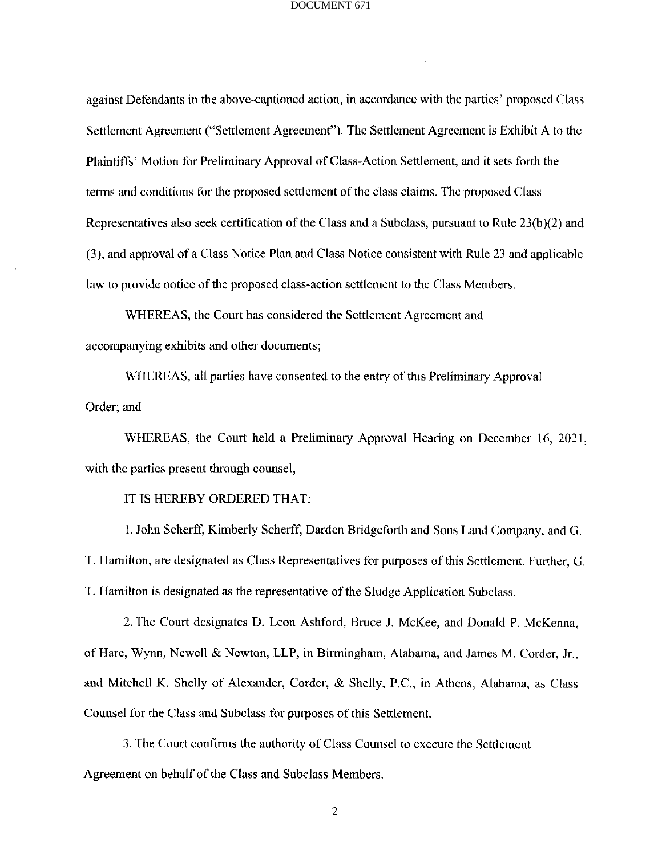against Defendants in the above-captioned action, in accordance with the parties' proposed Class Settlement Agreement ("Settlement Agreement"). The Settlement Agreement is Exhibit A to the Plaintiffs' Motion for Preliminary Approval of Class-Action Settlement, and it sets forth the terms and conditions for the proposed settlement of the class claims. The proposed Class Representatives also seek certification of the Class and a Subclass, pursuant to Rule 23(b)(2) and (3), and approval of a Class Notice Plan and Class Notice consistent with Rule 23 and applicable law to provide notice of the proposed class-action settlement to the Class Members.

WHEREAS, the Court has considered the Settlement Agreement and accompanying exhibits and other documents;

WHEREAS, all parties have consented to the entry of this Preliminary Approval Order; and

WHEREAS, the Court held a Preliminary Approval Hearing on December 16, 2021, with the parties present through counsel,

### IT IS HEREBY ORDERED THAT:

1. John Scherff, Kimberly Scherff, Darden Bridgeforth and Sons Land Company, and G. T. Hamilton, are designated as Class Representatives for purposes of this Settlement. Further, G. T. Hamilton is designated as the representative of the Sludge Application Subclass,

2. The Court designates D. Leon Ashford, Bruce J. McKee, and Donald P. McKenna, of Hare, Wynn, Newell & Newton, LLP, in Birmingham, Alabama, and James M. Corder, Jr., and Mitchell K. Shelly of Alexander, Corder, & Shelly, P.C., in Athens, Alabama, as Class Counsel for the Class and Subclass for purposes of this Settlement.

3. The Court confirms the authority of Class Counsel to execute the Settlement Agreement on behalf of the Class and Subclass Members.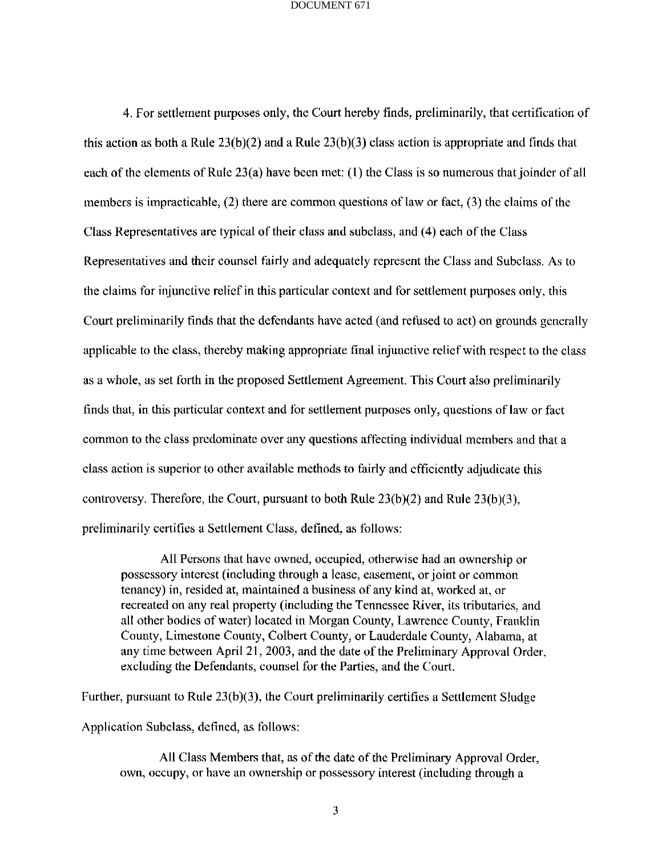4. For settlement purposes only, the Court hereby finds, preliminarily, that certification of this action as both a Rule  $23(b)(2)$  and a Rule  $23(b)(3)$  class action is appropriate and finds that each of the elements of Rule 23(a) have been met: (I) the Class is so numerous that joinder of all members is impracticable, (2) there are common questions of Law or fact, (3) the claims of the Class Representatives are typical of their class and subclass, and (4) each of the Class Representatives and their counsel fairly and adequately represent the Class and Subclass. As to the claims for injunctive relief in this particular context and for settlement purposes only, this Court preliminarily finds that the defendants have acted (and refused to act) on grounds generally applicable to the class, thereby making appropriate final injunctive relief with respect to the class as a whole, as set forth in the proposed Settlement Agreement. This Court also preliminarily finds that, in this particular context and for settlement purposes only, questions of law or fact common to the class predominate over any questions affecting individual members and that a class action is superior to other available methods to fairly and efficiently adjudicate this controversy. Therefore, the Court, pursuant to both Rule  $23(b)(2)$  and Rule  $23(b)(3)$ , preliminarily certifies a Settlement Class, defined, as follows:

All Persons that have owned, occupied, otherwise had an ownership or possessory interest (including through a lease, easement, or joint or common tenancy) in, resided at, maintained a business of any kind at, worked at, or recreated on any real property (including the Tennessee River, its tributaries, and all other bodies of water) located in Morgan County, Lawrence County, Franklin County, Limestone County, Colbert County, or Lauderdale County, Alabama, at any time between April 21, 2003, and the date of the Preliminary Approval Order, excluding the Defendants, counsel for the Parties, and the Court.

Further, pursuant to Rule  $23(b)(3)$ , the Court preliminarily certifies a Settlement Sludge

Application Subclass, defined, as follows:

All Class Members that, as of the date of the Preliminary Approval Order, own, occupy, or have an ownership or possessory interest (including through a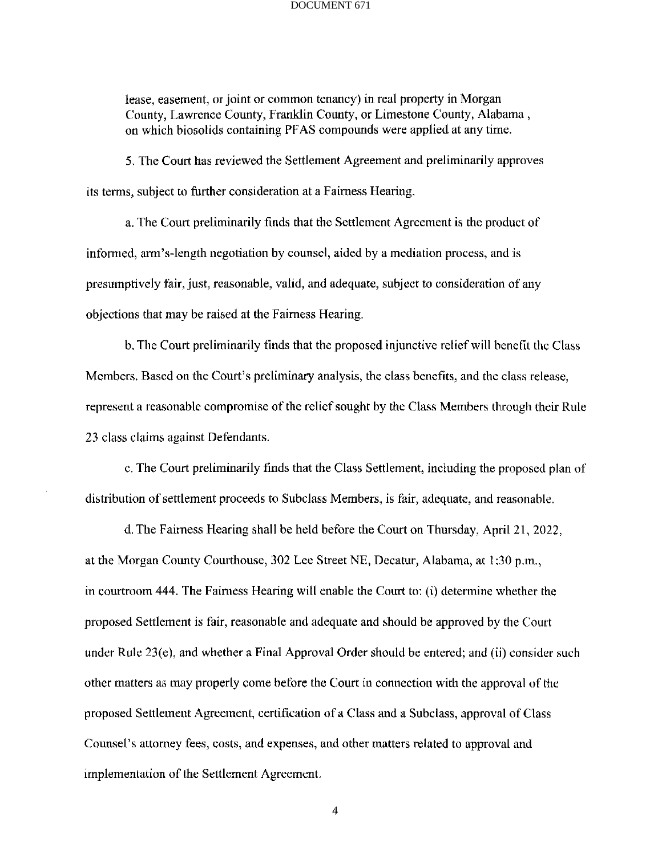lease, easement, or joint or common tenancy) in real property in Morgan County, Lawrence County, Franklin County, or Limestone County, Alabama , on which biosolids containing PEAS compounds were applied at any time.

5. The Court has reviewed the Settlement Agreement and preliminarily approves its terms, subject to further consideration at a Fairness Hearing.

a. The Court preliminarily finds that the Settlement Agreement is the product of informed, arm's-length negotiation by counsel, aided by a mediation process, and is presumptively fair, just, reasonable, valid, and adequate, subject to consideration of any objections that may be raised at the Fairness Hearing.

b. The Court preliminarily finds that the proposed injunctive relief will benefit the Class Members. Based on the Court's preliminary analysis, the class benefits, and the class release, represent a reasonable compromise of the relief sought by the Class Members through their Rule 23 class claims against Defendants.

c. The Court preliminarily finds that the Class Settlement, including the proposed plan of distribution of settlement proceeds to Subclass Members, is fair, adequate, and reasonable.

d. The Fairness Hearing shall be held before the Court on Thursday, April 21, 2022, at the Morgan County Courthouse, 302 Lee Street NE, Decatur, Alabama, at 1:30 p.m., in courtroom 444. The Fairness Hearing will enable the Court to: (1) determine whether the proposed Settlement is fair, reasonable and adequate and should be approved by the Court under Rule  $23(e)$ , and whether a Final Approval Order should be entered; and (ii) consider such other matters as may properly come before the Court in connection with the approval of the proposed Settlement Agreement, certification of a Class and a Subclass, approval of Class Counsel's attorney fees, costs, and expenses, and other matters related to approval and implementation of the Settlement Agreement.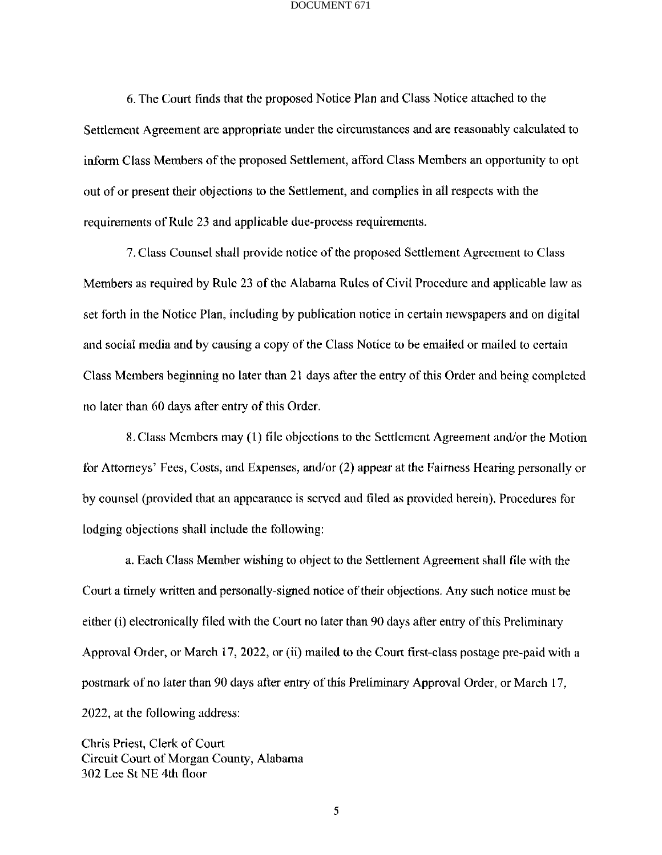6. The Court finds that the proposed Notice Plan and Class Notice attached to the Settlement Agreement are appropriate under the circumstances and are reasonably calculated to inform Class Members of the proposed Settlement, afford Class Members an opportunity to opt out of or present their objections to the Settlement, and complies in all respects with the requirements of Rule 23 and applicable due-process requirements.

7. Class Counsel shall provide notice of the proposed Settlement Agreement to Class Members as required by Rule 23 of the Alabama Rules of Civil Procedure and applicable law as set forth in the Notice Plan, including by publication notice in certain newspapers and on digital and social media and by causing a copy of the Class Notice to be emailed or mailed to certain Class Members beginning no later than 21 days after the entry of this Order and being completed no later than 60 days after entry of this Order.

8. Class Members may (1) file objections to the Settlement Agreement and/or the Motion for Attorneys' Fees, Costs, and Expenses, and/or (2) appear at the Fairness Hearing personally or by counsel (provided that an appearance is served and filed as provided herein). Procedures for lodging objections shall include the following:

a. Each Class Member wishing to object to the Settlement Agreement shall tile with the Court a timely written and personally-signed notice of their objections. Any such notice must be either (i) electronically filed with the Court no later than 90 days after entry of this Preliminary Approval Order, or March 17, 2022, or (ii) mailed to the Court first-class postage pre-paid with a postmark of no later than 90 days after entry of this Preliminary Approval Order, or March 17, 2022, at the following address:

Chris Priest, Clerk of Court Circuit Court of Morgan County, Alabama 302 Lee St NE 4th floor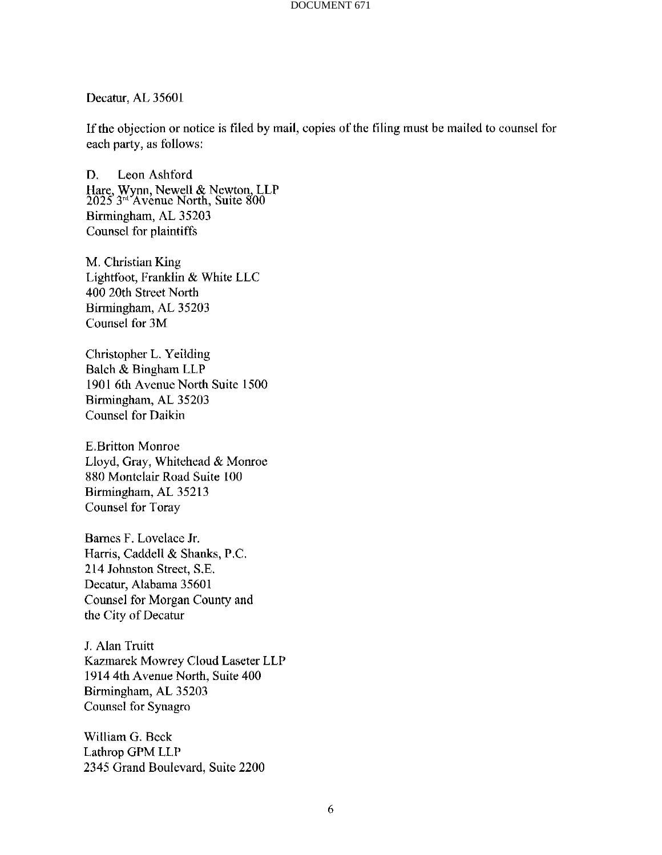Decatur, AL 35601

If the objection or notice is filed by mail, copies of the tiling must be mailed to counsel for each party, as follows:

D. Leon Ashford Hare, Wynn, Newell & Newton, LLP 2025 3rd Avenue North, Suite 800 Birmingham, AL 35203 Counsel for plaintiffs

M. Christian King Lightfoot, Franklin & White LLC 400 20th Street North Birmingham, AL 35203 Counsel for 3M

Christopher L. Yeilding Balch & Bingham LLP 1901 6th Avenue North Suite 1500 Birmingham, AL 35203 Counsel for Daikin

E.Britton Monroe Lloyd, Gray, Whitehead & Monroe 880 Montclair Road Suite 100 Birmingham, AL 35213 Counsel for Toray

Barnes F. Lovelace Jr. Harris, Caddell & Shanks, P.C. 214 Johnston Street, S.E. Decatur, Alabama 35601 Counsel for Morgan County and the City of Decatur

J. Alan Truitt Kazmarek Mowrey Cloud Laseter LLP 1914 4th Avenue North, Suite 400 Birmingham, AL 35203 Counsel for Synagro

William G. Beck Lathrop GPM LLP 2345 Grand Boulevard, Suite 2200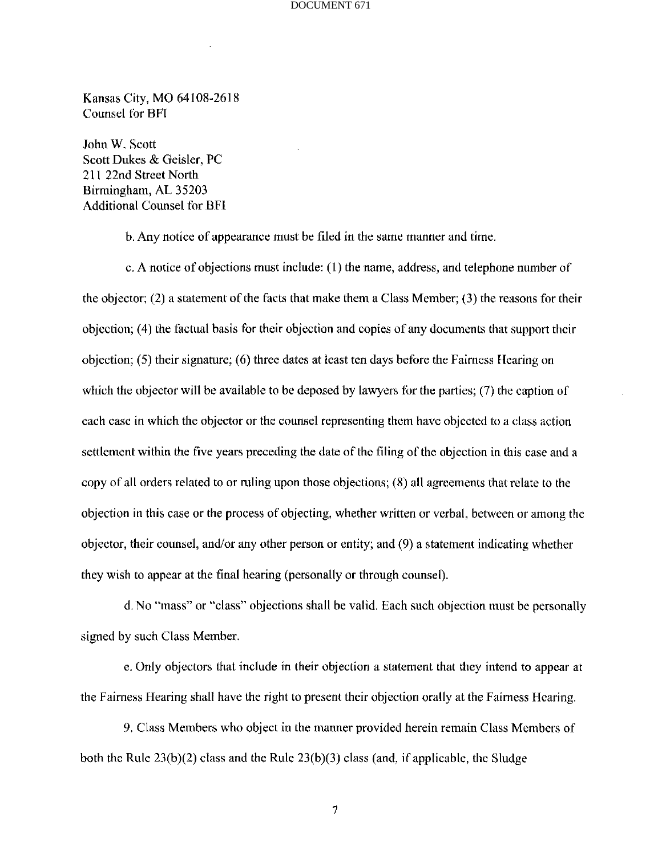Kansas City, MO 64108-2618 Counsel for BFI

John W. Scott Scott Dukes & Geisler, PC 211 22nd Street North Birmingham, AL 35203 Additional Counsel for BFI

b. Any notice of appearance must be filed in the same manner and time.

c. A notice of objections must include: (1) the name, address, and telephone number of the objector; (2) a statement of the facts that make them a Class Member; (3) the reasons for their objection; (4) the factual basis for their objection and copies of any documents that support their objection; (5) their signature; (6) three dates at least ten days before the Fairness Hearing on which the objector will be available to be deposed by lawyers for the parties; (7) the caption of each case in which the objector or the counsel representing them have objected to a class action settlement within the five years preceding the date of the filing of the objection in this case and a copy of all orders related to or ruling upon those objections; (8) all agreements that relate to the objection in this case or the process of objecting, whether written or verbal, between or among the objector, their counsel, and/or any other person or entity; and (9) a statement indicating whether they wish to appear at the final hearing (personally or through counsel).

d.No "mass" or "class" objections shall be valid. Each such objection must be personally signed by such Class Member.

e. Only objectors that include in their objection a statement that they intend to appear at the Fairness Hearing shall have the right to present their objection orally at the Fairness Hearing.

9. Class Members who object in the manner provided herein remain Class Members of both the Rule  $23(b)(2)$  class and the Rule  $23(b)(3)$  class (and, if applicable, the Sludge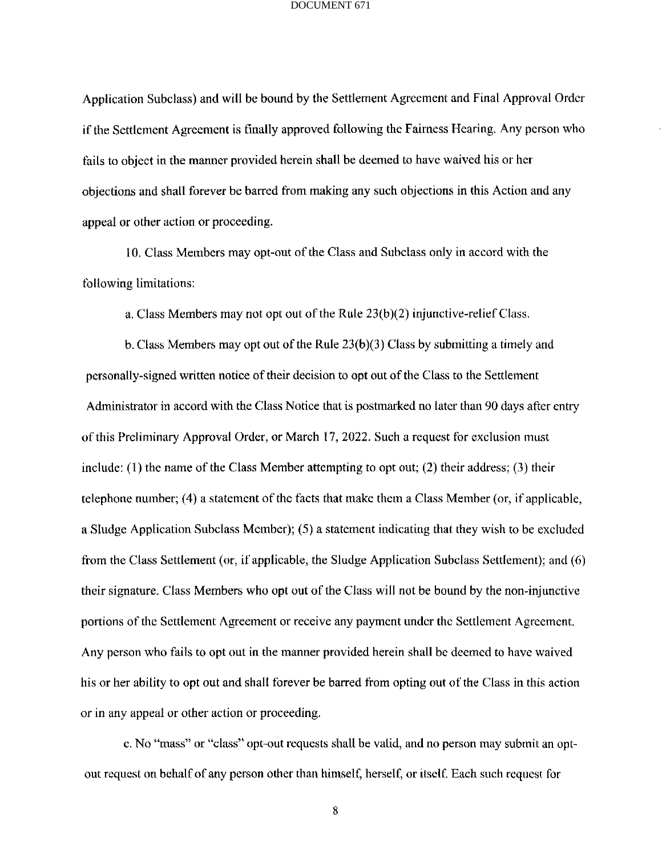Application Subclass) and will be bound by the Settlement Agreement and Final Approval Order if the Settlement Agreement is finally approved following the Fairness Hearing. Any person who fails to object in the manner provided herein shall be deemed to have waived his or her objections and shall forever be barred from making any such objections in this Action and any appeal or other action or proceeding.

10. Class Members may opt-out of the Class and Subclass only in accord with the following limitations:

a. Class Members may not opt out of the Rule 23(b)(2) injunctive-relief Class.

b. Class Members may opt out of the Rule 23(b)(3) Class by submitting a timely and personally-signed written notice of their decision to opt out of the Class to the Settlement Administrator in accord with the Class Notice that is postmarked no later than 90 days after entry of this Preliminary Approval Order, or March 17, 2022. Such a request for exclusion must include:  $(1)$  the name of the Class Member attempting to opt out;  $(2)$  their address;  $(3)$  their telephone number; (4) a statement of the facts that make them a Class Member (or, if applicable, a Sludge Application Subclass Member); (5) a statement indicating that they wish to be excluded from the Class Settlement (or, if applicable, the Sludge Application Subclass Settlement); and (6) their signature. Class Members who opt out of the Class will not be bound by the non-injunctive portions of the Settlement Agreement or receive any payment under the Settlement Agreement. Any person who fails to opt out in the manner provided herein shall be deemed to have waived his or her ability to opt out and shall forever be barred from opting out of the Class in this action or in any appeal or other action or proceeding.

c. No "mass" or "class" opt-out requests shall be valid, and no person may submit an optout request on behalf of any person other than himself, herself, or itself Each such request for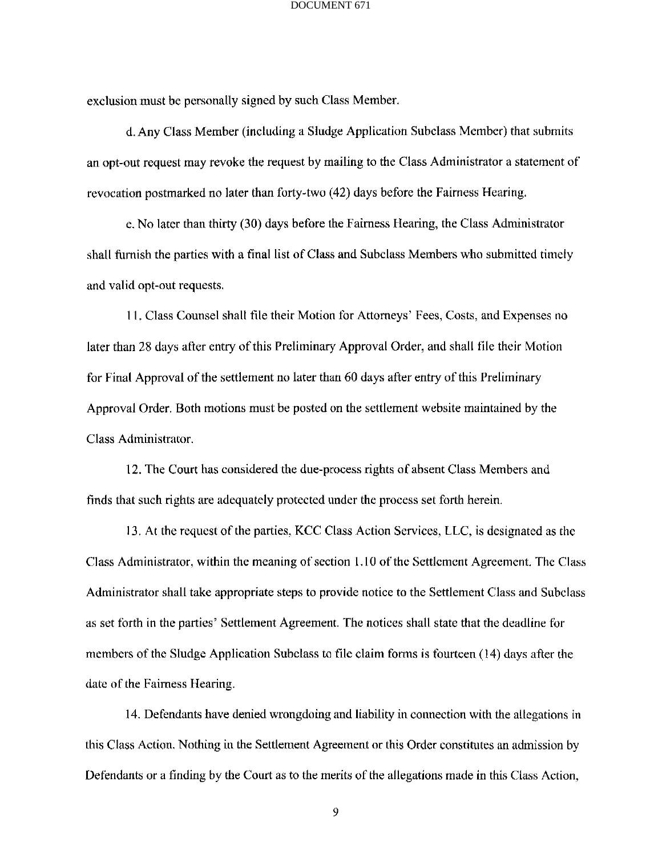exclusion must be personally signed by such Class Member.

d. Any Class Member (including a Sludge Application Subclass Member) that submits an opt-out request may revoke the request by mailing to the Class Administrator a statement of revocation postmarked no later than forty-two (42) days before the Fairness Hearing.

e. No later than thirty (30) days before the Fairness Hearing, the Class Administrator shall furnish the parties with a final list of Class and Subclass Members who submitted timely and valid opt-out requests.

11. Class Counsel shall file their Motion for Attorneys' Fees, Costs, and Expenses no later than 28 days after entry of this Preliminary Approval Order, and shall tile their Motion for Final Approval of the settlement no later than 60 days after entry of this Preliminary Approval Order. Both motions must be posted on the settlement website maintained by the Class Administrator.

12. The Court has considered the due-process rights of absent Class Members and finds that such rights are adequately protected under the process set forth herein.

13. At the request of the parties, KCC Class Action Services, LLC, is designated as the Class Administrator, within the meaning of section 1.10 of the Settlement Agreement. The Class Administrator shall take appropriate steps to provide notice to the Settlement Class and Subclass as set forth in the parties' Settlement Agreement. The notices shall state that the deadline for members of the Sludge Application Subclass to file claim forms is fourteen (14) days after the date of the Fairness Hearing.

14. Defendants have denied wrongdoing and liability in connection with the allegations in this Class Action. Nothing in the Settlement Agreement or this Order constitutes an admission by Defendants or a finding by the Court as to the merits of the allegations made in this Class Action,